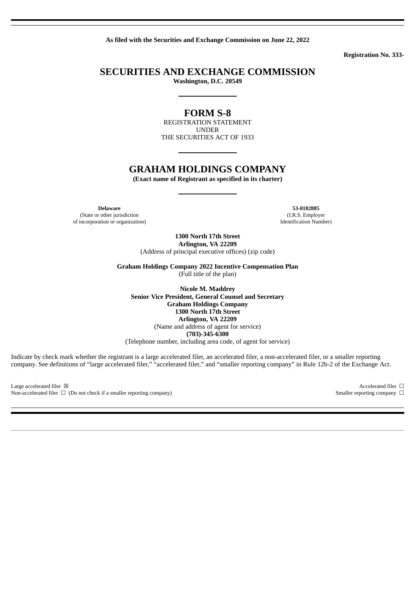**As filed with the Securities and Exchange Commission on June 22, 2022**

**Registration No. 333-**

# **SECURITIES AND EXCHANGE COMMISSION**

**Washington, D.C. 20549**

# **FORM S-8**

REGISTRATION STATEMENT UNDER THE SECURITIES ACT OF 1933

# **GRAHAM HOLDINGS COMPANY**

**(Exact name of Registrant as specified in its charter)**

**Delaware**

(State or other jurisdiction of incorporation or organization)

**53-0182885** (I.R.S. Employer Identification Number)

**1300 North 17th Street Arlington, VA 22209** (Address of principal executive offices) (zip code)

**Graham Holdings Company 2022 Incentive Compensation Plan** (Full title of the plan)

**Nicole M. Maddrey Senior Vice President, General Counsel and Secretary Graham Holdings Company 1300 North 17th Street Arlington, VA 22209** (Name and address of agent for service) **(703)-345-6300** (Telephone number, including area code, of agent for service)

Indicate by check mark whether the registrant is a large accelerated filer, an accelerated filer, a non-accelerated filer, or a smaller reporting company. See definitions of "large accelerated filer," "accelerated filer," and "smaller reporting company" in Rule 12b-2 of the Exchange Act.

Large accelerated filer ⊠ Accelerated filer □<br>Non-accelerated filer □ (Do not check if a smaller reporting company) <br>
Smaller reporting company □ Non-accelerated filer  $□$  (Do not check if a smaller reporting company)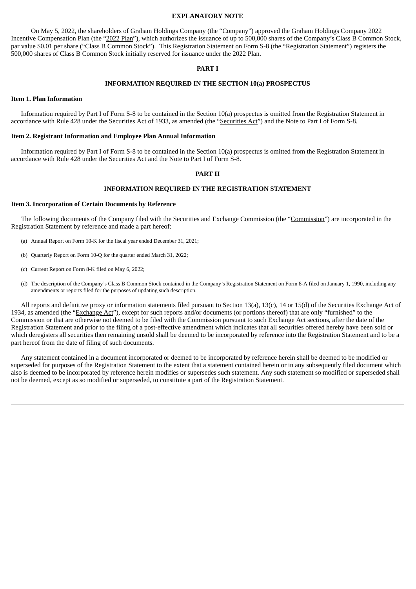#### **EXPLANATORY NOTE**

On May 5, 2022, the shareholders of Graham Holdings Company (the "Company") approved the Graham Holdings Company 2022 Incentive Compensation Plan (the "2022 Plan"), which authorizes the issuance of up to 500,000 shares of the Company's Class B Common Stock, par value \$0.01 per share ("Class B Common Stock"). This Registration Statement on Form S-8 (the "Registration Statement") registers the 500,000 shares of Class B Common Stock initially reserved for issuance under the 2022 Plan.

#### **PART I**

# **INFORMATION REQUIRED IN THE SECTION 10(a) PROSPECTUS**

# **Item 1. Plan Information**

Information required by Part I of Form S-8 to be contained in the Section 10(a) prospectus is omitted from the Registration Statement in accordance with Rule 428 under the Securities Act of 1933, as amended (the "Securities Act") and the Note to Part I of Form S-8.

# **Item 2. Registrant Information and Employee Plan Annual Information**

Information required by Part I of Form S-8 to be contained in the Section 10(a) prospectus is omitted from the Registration Statement in accordance with Rule 428 under the Securities Act and the Note to Part I of Form S-8.

## **PART II**

# **INFORMATION REQUIRED IN THE REGISTRATION STATEMENT**

#### **Item 3. Incorporation of Certain Documents by Reference**

The following documents of the Company filed with the Securities and Exchange Commission (the "Commission") are incorporated in the Registration Statement by reference and made a part hereof:

- (a) Annual Report on Form 10-K for the fiscal year ended December 31, 2021;
- (b) Quarterly Report on Form 10-Q for the quarter ended March 31, 2022;
- (c) Current Report on Form 8-K filed on May 6, 2022;
- (d) The description of the Company's Class B Common Stock contained in the Company's Registration Statement on Form 8-A filed on January 1, 1990, including any amendments or reports filed for the purposes of updating such description.

All reports and definitive proxy or information statements filed pursuant to Section 13(a), 13(c), 14 or 15(d) of the Securities Exchange Act of 1934, as amended (the "Exchange Act"), except for such reports and/or documents (or portions thereof) that are only "furnished" to the Commission or that are otherwise not deemed to be filed with the Commission pursuant to such Exchange Act sections, after the date of the Registration Statement and prior to the filing of a post-effective amendment which indicates that all securities offered hereby have been sold or which deregisters all securities then remaining unsold shall be deemed to be incorporated by reference into the Registration Statement and to be a part hereof from the date of filing of such documents.

Any statement contained in a document incorporated or deemed to be incorporated by reference herein shall be deemed to be modified or superseded for purposes of the Registration Statement to the extent that a statement contained herein or in any subsequently filed document which also is deemed to be incorporated by reference herein modifies or supersedes such statement. Any such statement so modified or superseded shall not be deemed, except as so modified or superseded, to constitute a part of the Registration Statement.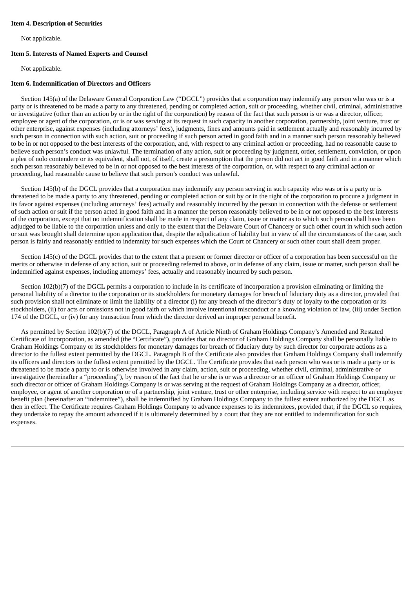### **Item 4. Description of Securities**

Not applicable.

#### **Item 5. Interests of Named Experts and Counsel**

Not applicable.

#### **Item 6. Indemnification of Directors and Officers**

Section 145(a) of the Delaware General Corporation Law ("DGCL") provides that a corporation may indemnify any person who was or is a party or is threatened to be made a party to any threatened, pending or completed action, suit or proceeding, whether civil, criminal, administrative or investigative (other than an action by or in the right of the corporation) by reason of the fact that such person is or was a director, officer, employee or agent of the corporation, or is or was serving at its request in such capacity in another corporation, partnership, joint venture, trust or other enterprise, against expenses (including attorneys' fees), judgments, fines and amounts paid in settlement actually and reasonably incurred by such person in connection with such action, suit or proceeding if such person acted in good faith and in a manner such person reasonably believed to be in or not opposed to the best interests of the corporation, and, with respect to any criminal action or proceeding, had no reasonable cause to believe such person's conduct was unlawful. The termination of any action, suit or proceeding by judgment, order, settlement, conviction, or upon a plea of nolo contendere or its equivalent, shall not, of itself, create a presumption that the person did not act in good faith and in a manner which such person reasonably believed to be in or not opposed to the best interests of the corporation, or, with respect to any criminal action or proceeding, had reasonable cause to believe that such person's conduct was unlawful.

Section 145(b) of the DGCL provides that a corporation may indemnify any person serving in such capacity who was or is a party or is threatened to be made a party to any threatened, pending or completed action or suit by or in the right of the corporation to procure a judgment in its favor against expenses (including attorneys' fees) actually and reasonably incurred by the person in connection with the defense or settlement of such action or suit if the person acted in good faith and in a manner the person reasonably believed to be in or not opposed to the best interests of the corporation, except that no indemnification shall be made in respect of any claim, issue or matter as to which such person shall have been adjudged to be liable to the corporation unless and only to the extent that the Delaware Court of Chancery or such other court in which such action or suit was brought shall determine upon application that, despite the adjudication of liability but in view of all the circumstances of the case, such person is fairly and reasonably entitled to indemnity for such expenses which the Court of Chancery or such other court shall deem proper.

Section 145(c) of the DGCL provides that to the extent that a present or former director or officer of a corporation has been successful on the merits or otherwise in defense of any action, suit or proceeding referred to above, or in defense of any claim, issue or matter, such person shall be indemnified against expenses, including attorneys' fees, actually and reasonably incurred by such person.

Section 102(b)(7) of the DGCL permits a corporation to include in its certificate of incorporation a provision eliminating or limiting the personal liability of a director to the corporation or its stockholders for monetary damages for breach of fiduciary duty as a director, provided that such provision shall not eliminate or limit the liability of a director (i) for any breach of the director's duty of loyalty to the corporation or its stockholders, (ii) for acts or omissions not in good faith or which involve intentional misconduct or a knowing violation of law, (iii) under Section 174 of the DGCL, or (iv) for any transaction from which the director derived an improper personal benefit.

As permitted by Section 102(b)(7) of the DGCL, Paragraph A of Article Ninth of Graham Holdings Company's Amended and Restated Certificate of Incorporation, as amended (the "Certificate"), provides that no director of Graham Holdings Company shall be personally liable to Graham Holdings Company or its stockholders for monetary damages for breach of fiduciary duty by such director for corporate actions as a director to the fullest extent permitted by the DGCL. Paragraph B of the Certificate also provides that Graham Holdings Company shall indemnify its officers and directors to the fullest extent permitted by the DGCL. The Certificate provides that each person who was or is made a party or is threatened to be made a party to or is otherwise involved in any claim, action, suit or proceeding, whether civil, criminal, administrative or investigative (hereinafter a "proceeding"), by reason of the fact that he or she is or was a director or an officer of Graham Holdings Company or such director or officer of Graham Holdings Company is or was serving at the request of Graham Holdings Company as a director, officer, employee, or agent of another corporation or of a partnership, joint venture, trust or other enterprise, including service with respect to an employee benefit plan (hereinafter an "indemnitee"), shall be indemnified by Graham Holdings Company to the fullest extent authorized by the DGCL as then in effect. The Certificate requires Graham Holdings Company to advance expenses to its indemnitees, provided that, if the DGCL so requires, they undertake to repay the amount advanced if it is ultimately determined by a court that they are not entitled to indemnification for such expenses.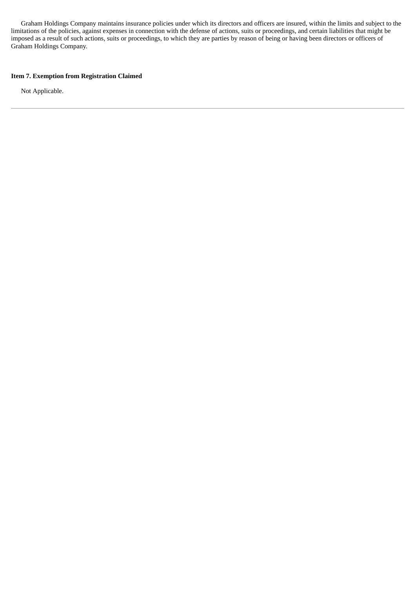Graham Holdings Company maintains insurance policies under which its directors and officers are insured, within the limits and subject to the limitations of the policies, against expenses in connection with the defense of actions, suits or proceedings, and certain liabilities that might be imposed as a result of such actions, suits or proceedings, to which they are parties by reason of being or having been directors or officers of Graham Holdings Company.

# **Item 7. Exemption from Registration Claimed**

Not Applicable.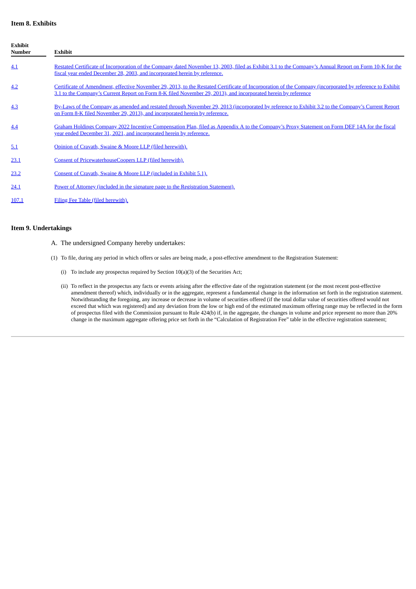### **Item 8. Exhibits**

| Exhibit<br><b>Number</b> | Exhibit                                                                                                                                                                                                                                                                    |
|--------------------------|----------------------------------------------------------------------------------------------------------------------------------------------------------------------------------------------------------------------------------------------------------------------------|
| 4.1                      | Restated Certificate of Incorporation of the Company dated November 13, 2003, filed as Exhibit 3.1 to the Company's Annual Report on Form 10-K for the<br>fiscal year ended December 28, 2003, and incorporated herein by reference.                                       |
| 4.2                      | Certificate of Amendment, effective November 29, 2013, to the Restated Certificate of Incorporation of the Company (incorporated by reference to Exhibit<br>3.1 to the Company's Current Report on Form 8-K filed November 29, 2013), and incorporated herein by reference |
| 4.3                      | By-Laws of the Company as amended and restated through November 29, 2013 (incorporated by reference to Exhibit 3.2 to the Company's Current Report<br>on Form 8-K filed November 29, 2013), and incorporated herein by reference.                                          |
| 4.4                      | Graham Holdings Company 2022 Incentive Compensation Plan, filed as Appendix A to the Company's Proxy Statement on Form DEF 14A for the fiscal<br>year ended December 31, 2021, and incorporated herein by reference.                                                       |
| 5.1                      | Opinion of Cravath, Swaine & Moore LLP (filed herewith).                                                                                                                                                                                                                   |
| 23.1                     | Consent of PricewaterhouseCoopers LLP (filed herewith).                                                                                                                                                                                                                    |
| 23.2                     | Consent of Cravath, Swaine & Moore LLP (included in Exhibit 5.1).                                                                                                                                                                                                          |
| 24.1                     | Power of Attorney (included in the signature page to the Registration Statement).                                                                                                                                                                                          |
| 107.1                    | Filing Fee Table (filed herewith).                                                                                                                                                                                                                                         |

# **Item 9. Undertakings**

- A. The undersigned Company hereby undertakes:
- (1) To file, during any period in which offers or sales are being made, a post-effective amendment to the Registration Statement:
	- (i) To include any prospectus required by Section 10(a)(3) of the Securities Act;
	- (ii) To reflect in the prospectus any facts or events arising after the effective date of the registration statement (or the most recent post-effective amendment thereof) which, individually or in the aggregate, represent a fundamental change in the information set forth in the registration statement. Notwithstanding the foregoing, any increase or decrease in volume of securities offered (if the total dollar value of securities offered would not exceed that which was registered) and any deviation from the low or high end of the estimated maximum offering range may be reflected in the form of prospectus filed with the Commission pursuant to Rule 424(b) if, in the aggregate, the changes in volume and price represent no more than 20% change in the maximum aggregate offering price set forth in the "Calculation of Registration Fee" table in the effective registration statement;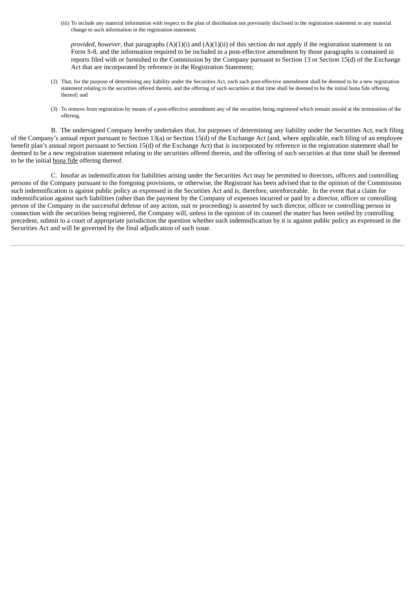(iii) To include any material information with respect to the plan of distribution not previously disclosed in the registration statement or any material change to such information in the registration statement;

*provided, however*, that paragraphs  $(A)(1)(i)$  and  $(A)(1)(ii)$  of this section do not apply if the registration statement is on Form S-8, and the information required to be included in a post-effective amendment by those paragraphs is contained in reports filed with or furnished to the Commission by the Company pursuant to Section 13 or Section 15(d) of the Exchange Act that are incorporated by reference in the Registration Statement;

- (2) That, for the purpose of determining any liability under the Securities Act, each such post-effective amendment shall be deemed to be a new registration statement relating to the securities offered therein, and the offering of such securities at that time shall be deemed to be the initial bona fide offering thereof; and
- (3) To remove from registration by means of a post-effective amendment any of the securities being registered which remain unsold at the termination of the offering.

B. The undersigned Company hereby undertakes that, for purposes of determining any liability under the Securities Act, each filing of the Company's annual report pursuant to Section 13(a) or Section 15(d) of the Exchange Act (and, where applicable, each filing of an employee benefit plan's annual report pursuant to Section 15(d) of the Exchange Act) that is incorporated by reference in the registration statement shall be deemed to be a new registration statement relating to the securities offered therein, and the offering of such securities at that time shall be deemed to be the initial bona fide offering thereof.

C. Insofar as indemnification for liabilities arising under the Securities Act may be permitted to directors, officers and controlling persons of the Company pursuant to the foregoing provisions, or otherwise, the Registrant has been advised that in the opinion of the Commission such indemnification is against public policy as expressed in the Securities Act and is, therefore, unenforceable. In the event that a claim for indemnification against such liabilities (other than the payment by the Company of expenses incurred or paid by a director, officer or controlling person of the Company in the successful defense of any action, suit or proceeding) is asserted by such director, officer or controlling person in connection with the securities being registered, the Company will, unless in the opinion of its counsel the matter has been settled by controlling precedent, submit to a court of appropriate jurisdiction the question whether such indemnification by it is against public policy as expressed in the Securities Act and will be governed by the final adjudication of such issue.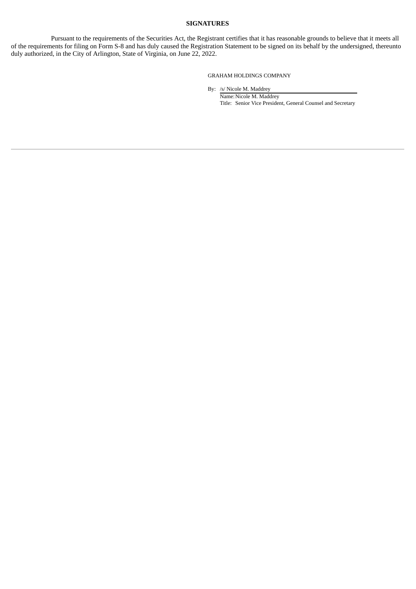# **SIGNATURES**

Pursuant to the requirements of the Securities Act, the Registrant certifies that it has reasonable grounds to believe that it meets all of the requirements for filing on Form S-8 and has duly caused the Registration Statement to be signed on its behalf by the undersigned, thereunto duly authorized, in the City of Arlington, State of Virginia, on June 22, 2022.

GRAHAM HOLDINGS COMPANY

By: /s/ Nicole M. Maddrey

Name: Nicole M. Maddrey Title: Senior Vice President, General Counsel and Secretary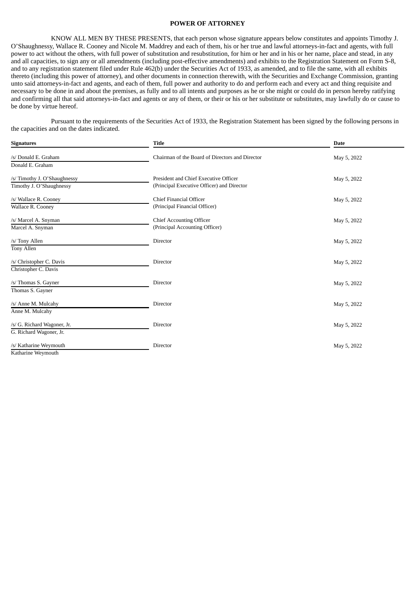#### <span id="page-7-0"></span>**POWER OF ATTORNEY**

KNOW ALL MEN BY THESE PRESENTS, that each person whose signature appears below constitutes and appoints Timothy J. O'Shaughnessy, Wallace R. Cooney and Nicole M. Maddrey and each of them, his or her true and lawful attorneys-in-fact and agents, with full power to act without the others, with full power of substitution and resubstitution, for him or her and in his or her name, place and stead, in any and all capacities, to sign any or all amendments (including post-effective amendments) and exhibits to the Registration Statement on Form S-8, and to any registration statement filed under Rule 462(b) under the Securities Act of 1933, as amended, and to file the same, with all exhibits thereto (including this power of attorney), and other documents in connection therewith, with the Securities and Exchange Commission, granting unto said attorneys-in-fact and agents, and each of them, full power and authority to do and perform each and every act and thing requisite and necessary to be done in and about the premises, as fully and to all intents and purposes as he or she might or could do in person hereby ratifying and confirming all that said attorneys-in-fact and agents or any of them, or their or his or her substitute or substitutes, may lawfully do or cause to be done by virtue hereof.

Pursuant to the requirements of the Securities Act of 1933, the Registration Statement has been signed by the following persons in the capacities and on the dates indicated.

| <b>Signatures</b>                                        | <b>Title</b>                                                                        | <b>Date</b> |  |
|----------------------------------------------------------|-------------------------------------------------------------------------------------|-------------|--|
| /s/ Donald E. Graham                                     | Chairman of the Board of Directors and Director                                     | May 5, 2022 |  |
| Donald E. Graham                                         |                                                                                     |             |  |
| /s/ Timothy J. O'Shaughnessy<br>Timothy J. O'Shaughnessy | President and Chief Executive Officer<br>(Principal Executive Officer) and Director | May 5, 2022 |  |
|                                                          |                                                                                     |             |  |
| /s/ Wallace R. Cooney                                    | Chief Financial Officer<br>(Principal Financial Officer)                            | May 5, 2022 |  |
| Wallace R. Cooney                                        |                                                                                     |             |  |
| /s/ Marcel A. Snyman                                     | <b>Chief Accounting Officer</b>                                                     | May 5, 2022 |  |
| Marcel A. Snyman                                         | (Principal Accounting Officer)                                                      |             |  |
| /s/ Tony Allen                                           | Director                                                                            | May 5, 2022 |  |
| <b>Tony Allen</b>                                        |                                                                                     |             |  |
| /s/ Christopher C. Davis                                 | Director                                                                            | May 5, 2022 |  |
| Christopher C. Davis                                     |                                                                                     |             |  |
| /s/ Thomas S. Gayner                                     | Director                                                                            | May 5, 2022 |  |
| Thomas S. Gayner                                         |                                                                                     |             |  |
| /s/ Anne M. Mulcahy                                      | Director                                                                            | May 5, 2022 |  |
| Anne M. Mulcahy                                          |                                                                                     |             |  |
| /s/ G. Richard Wagoner, Jr.                              | Director                                                                            | May 5, 2022 |  |
| G. Richard Wagoner, Jr.                                  |                                                                                     |             |  |
| /s/ Katharine Weymouth                                   | Director                                                                            | May 5, 2022 |  |
| Katharine Weymouth                                       |                                                                                     |             |  |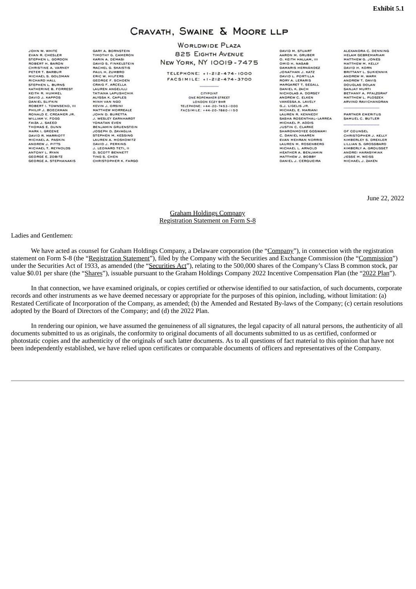# CRAVATH, SWAINE & MOORE LLP

GARY A. BORNSTEIN TIMOTHY G. CAMERON KARIN A. DEMASI DAVID S. FINKELSTEIN **RACHEL G. SKAISTIS** RACHEL G. SKAISTIS<br>PAUL H. ZUMBRO<br>ERIC W. HILFERS<br>GEORGE F. SCHOEN LAUREN ANGELILLI **TATIANA LAPUSHCHIK** ATIANA LAPUSHCHIA<br>ALYSSA K. CAPLES<br>MINH VAN NGO<br>KEVIN J. ORSINI<br>MATTHEW MORREALE JOHN D. BURETTA J. WESLEY EARNHARDT **YONATAN FUEN** TONATAN EVEN<br>BENJAMIN GRUENSTEIN<br>JOSEPH D. ZAVAGLIA<br>STEPHEN M. KESSING LAUREN A. MOSKOWITZ J. LEONARD TETI  $\ddot{u}$ **J. LEONARD TETI, IT**<br>D. SCOTT BENNETT<br>CHRISTOPHER K. FARGO

**WORLDWIDE PLAZA** 825 EIGHTH AVENUE NEW YORK, NY 10019-7475

TELEPHONE: +1-212-474-1000 FACSIMILE: +1-212-474-3700

> CITYPOINT CHEROPEMAKER STREET<br>LONDON EC2Y 9HR<br>TELEPHONE: +44-20-7453-1000<br>FACSIMILE: +44-20-7460-1150

DAVID M. STUART<br>AARON M. GRUBER O. KEITH HALLAM, III OMID H. NASAB DAMARIS HERNÁNDEZ DAMARIS HERNANDEZ<br>JONATHAN J. KATZ<br>DAVID L. PORTILLA<br>RORY A. LERARIS<br>MARGARET T. SEGALL DANIEL K. ZACH NICHOLAS A. DORSEY MICHOLAS A. DONSE<br>VANESSA A. LAVELY<br>G.J. LIGELIS JR.<br>MICHAEL E. MARIANI LAUREN R. KENNEDY SASHA ROSENTHAL-LARREA MICHAEL P. ADDIS<br>JUSTIN C. CLARKE<br>SHARONMOYEE GOSWAMI<br>C. DANIEL HAAREN **EVAN MEHRAN NORRIS** LAUREN M. ROSENBERG<br>MICHAEL L. ARNOLD MICHAEL L ARNOLD<br>HEATHER A. BENJAMIN<br>MATTHEW J. BOBBY<br>DANIEL J. CERQUEIRA

LEXANDRA C. DENNING HELAM GEBREMARIAM MATTHEW G. JONES MATTHEW M. KELLY DAVID H. KORN BRITTANY L. SUKIENNIK ANDREW M. WARK DOUGLAS DOLAN SANJAY MURTI BETHANY A. PFALZGRAF<br>MATTHEW L. PLOSZEK ARVIND RAVICHANDRAN

**PARTNER EMERITUS** SAMUEL C. BUTLER

OF COUNSEL<br>CHRISTOPHER J. KELLY KIMBERLEY S. DREXLER LILLIAN S. GROSSBARD KIMBERLY A. GROUSSET AMBERLT A. GROUSS<br>ANDREI HARASYMIAK<br>JESSE M. WEISS<br>MICHAEL J. ZAKEN

June 22, 2022

Graham Holdings Company Registration Statement on Form S-8

Ladies and Gentlemen:

We have acted as counsel for Graham Holdings Company, a Delaware corporation (the "Company"), in connection with the registration statement on Form S-8 (the "Registration Statement"), filed by the Company with the Securities and Exchange Commission (the "Commission") under the Securities Act of 1933, as amended (the "Securities Act"), relating to the 500,000 shares of the Company's Class B common stock, par value \$0.01 per share (the "Shares"), issuable pursuant to the Graham Holdings Company 2022 Incentive Compensation Plan (the "2022 Plan").

In that connection, we have examined originals, or copies certified or otherwise identified to our satisfaction, of such documents, corporate records and other instruments as we have deemed necessary or appropriate for the purposes of this opinion, including, without limitation: (a) Restated Certificate of Incorporation of the Company, as amended; (b) the Amended and Restated By-laws of the Company; (c) certain resolutions adopted by the Board of Directors of the Company; and (d) the 2022 Plan.

In rendering our opinion, we have assumed the genuineness of all signatures, the legal capacity of all natural persons, the authenticity of all documents submitted to us as originals, the conformity to original documents of all documents submitted to us as certified, conformed or photostatic copies and the authenticity of the originals of such latter documents. As to all questions of fact material to this opinion that have not been independently established, we have relied upon certificates or comparable documents of officers and representatives of the Company.

<span id="page-8-0"></span>JOHN W. WHITE<br>EVAN R. CHESLER STEPHEN L. GORDON ROBERT H. BARON CHRISTINE A. VARNEY CHRISTINE A. VARNET<br>PETER T. BARBUR<br>MICHAEL S. GOLDMAN<br>RICHARD HALL STEPHEN L. BURNS KATHERINE B. FORREST KATHERINE B. FORREST<br>KEITH R. HUMMEL<br>DAVID J. KAPPOS<br>DANIEL SLIFKIN<br>ROBERT I. TOWNSEND, III<br>PHILIP J. BOECKMAN RONALD E. CREAMER JR. WILLIAM V. FOGG FAIZA I SAFED FAIZA J, SAEED<br>THOMAS E, DUNN<br>MARK I, GREENE<br>DAVID R, MARRIOTT MICHAEL A. PASKIN MICHAEL A. PASNIN<br>ANDREW J. PITTS<br>MICHAEL T. REYNOLDS<br>ANTONY L. RYAN<br>GEORGE E. ZOBITZ<br>QEORGE A. STEPHANAKIS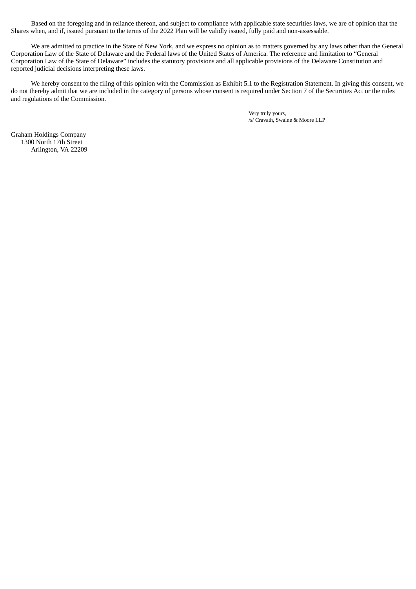Based on the foregoing and in reliance thereon, and subject to compliance with applicable state securities laws, we are of opinion that the Shares when, and if, issued pursuant to the terms of the 2022 Plan will be validly issued, fully paid and non-assessable.

We are admitted to practice in the State of New York, and we express no opinion as to matters governed by any laws other than the General Corporation Law of the State of Delaware and the Federal laws of the United States of America. The reference and limitation to "General Corporation Law of the State of Delaware" includes the statutory provisions and all applicable provisions of the Delaware Constitution and reported judicial decisions interpreting these laws.

We hereby consent to the filing of this opinion with the Commission as Exhibit 5.1 to the Registration Statement. In giving this consent, we do not thereby admit that we are included in the category of persons whose consent is required under Section 7 of the Securities Act or the rules and regulations of the Commission.

> Very truly yours, /s/ Cravath, Swaine & Moore LLP

Graham Holdings Company 1300 North 17th Street Arlington, VA 22209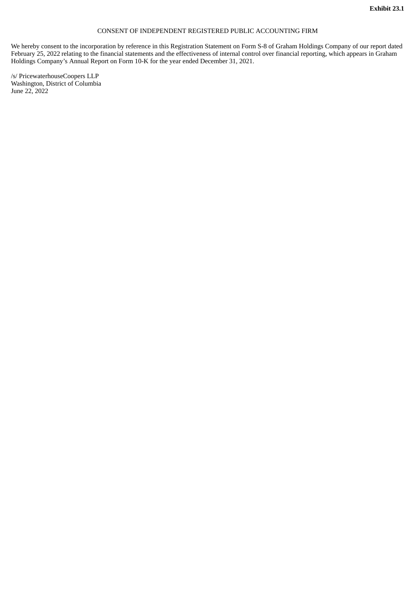# CONSENT OF INDEPENDENT REGISTERED PUBLIC ACCOUNTING FIRM

<span id="page-10-0"></span>We hereby consent to the incorporation by reference in this Registration Statement on Form S-8 of Graham Holdings Company of our report dated February 25, 2022 relating to the financial statements and the effectiveness of internal control over financial reporting, which appears in Graham Holdings Company's Annual Report on Form 10-K for the year ended December 31, 2021.

/s/ PricewaterhouseCoopers LLP Washington, District of Columbia June 22, 2022